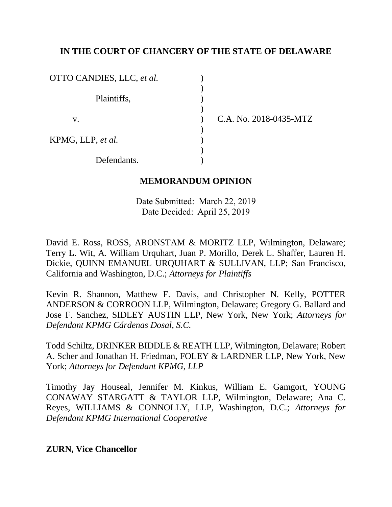## **IN THE COURT OF CHANCERY OF THE STATE OF DELAWARE**

| OTTO CANDIES, LLC, et al. |  |
|---------------------------|--|
| Plaintiffs,               |  |
| V.                        |  |
| KPMG, LLP, et al.         |  |
| Defendants.               |  |

C.A. No. 2018-0435-MTZ

#### **MEMORANDUM OPINION**

Date Submitted: March 22, 2019 Date Decided: April 25, 2019

David E. Ross, ROSS, ARONSTAM & MORITZ LLP, Wilmington, Delaware; Terry L. Wit, A. William Urquhart, Juan P. Morillo, Derek L. Shaffer, Lauren H. Dickie, QUINN EMANUEL URQUHART & SULLIVAN, LLP; San Francisco, California and Washington, D.C.; *Attorneys for Plaintiffs*

Kevin R. Shannon, Matthew F. Davis, and Christopher N. Kelly, POTTER ANDERSON & CORROON LLP, Wilmington, Delaware; Gregory G. Ballard and Jose F. Sanchez, SIDLEY AUSTIN LLP, New York, New York; *Attorneys for Defendant KPMG Cárdenas Dosal, S.C.*

Todd Schiltz, DRINKER BIDDLE & REATH LLP, Wilmington, Delaware; Robert A. Scher and Jonathan H. Friedman, FOLEY & LARDNER LLP, New York, New York; *Attorneys for Defendant KPMG, LLP*

Timothy Jay Houseal, Jennifer M. Kinkus, William E. Gamgort, YOUNG CONAWAY STARGATT & TAYLOR LLP, Wilmington, Delaware; Ana C. Reyes, WILLIAMS & CONNOLLY, LLP, Washington, D.C.; *Attorneys for Defendant KPMG International Cooperative* 

**ZURN, Vice Chancellor**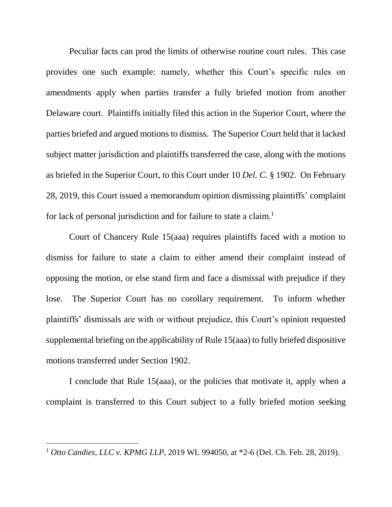Peculiar facts can prod the limits of otherwise routine court rules. This case provides one such example: namely, whether this Court's specific rules on amendments apply when parties transfer a fully briefed motion from another Delaware court. Plaintiffs initially filed this action in the Superior Court, where the parties briefed and argued motions to dismiss. The Superior Court held that it lacked subject matter jurisdiction and plaintiffs transferred the case, along with the motions as briefed in the Superior Court, to this Court under 10 *Del. C.* § 1902. On February 28, 2019, this Court issued a memorandum opinion dismissing plaintiffs' complaint for lack of personal jurisdiction and for failure to state a claim.<sup>1</sup>

Court of Chancery Rule 15(aaa) requires plaintiffs faced with a motion to dismiss for failure to state a claim to either amend their complaint instead of opposing the motion, or else stand firm and face a dismissal with prejudice if they lose. The Superior Court has no corollary requirement. To inform whether plaintiffs' dismissals are with or without prejudice, this Court's opinion requested supplemental briefing on the applicability of Rule 15(aaa) to fully briefed dispositive motions transferred under Section 1902.

I conclude that Rule 15(aaa), or the policies that motivate it, apply when a complaint is transferred to this Court subject to a fully briefed motion seeking

<sup>1</sup> *Otto Candies, LLC v. KPMG LLP*, 2019 WL 994050, at \*2-6 (Del. Ch. Feb. 28, 2019).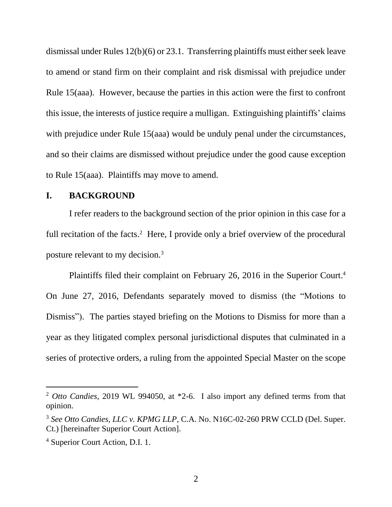dismissal under Rules 12(b)(6) or 23.1. Transferring plaintiffs must either seek leave to amend or stand firm on their complaint and risk dismissal with prejudice under Rule 15(aaa). However, because the parties in this action were the first to confront this issue, the interests of justice require a mulligan. Extinguishing plaintiffs' claims with prejudice under Rule 15(aaa) would be unduly penal under the circumstances, and so their claims are dismissed without prejudice under the good cause exception to Rule 15(aaa). Plaintiffs may move to amend.

#### **I. BACKGROUND**

I refer readers to the background section of the prior opinion in this case for a full recitation of the facts.<sup>2</sup> Here, I provide only a brief overview of the procedural posture relevant to my decision.<sup>3</sup>

Plaintiffs filed their complaint on February 26, 2016 in the Superior Court. 4 On June 27, 2016, Defendants separately moved to dismiss (the "Motions to Dismiss"). The parties stayed briefing on the Motions to Dismiss for more than a year as they litigated complex personal jurisdictional disputes that culminated in a series of protective orders, a ruling from the appointed Special Master on the scope

<sup>2</sup> *Otto Candies*, 2019 WL 994050, at \*2-6. I also import any defined terms from that opinion.

<sup>3</sup> *See Otto Candies, LLC v. KPMG LLP*, C.A. No. N16C-02-260 PRW CCLD (Del. Super. Ct.) [hereinafter Superior Court Action].

<sup>4</sup> Superior Court Action, D.I. 1.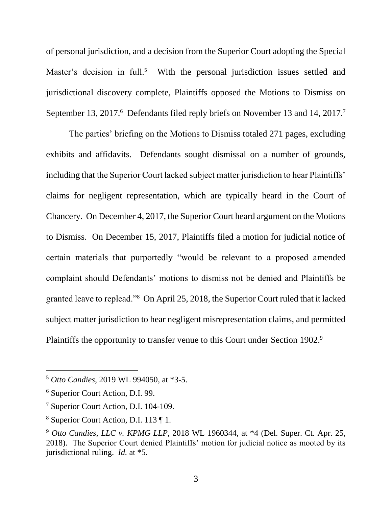of personal jurisdiction, and a decision from the Superior Court adopting the Special Master's decision in full.<sup>5</sup> With the personal jurisdiction issues settled and jurisdictional discovery complete, Plaintiffs opposed the Motions to Dismiss on September 13, 2017.<sup>6</sup> Defendants filed reply briefs on November 13 and 14, 2017.<sup>7</sup>

The parties' briefing on the Motions to Dismiss totaled 271 pages, excluding exhibits and affidavits. Defendants sought dismissal on a number of grounds, including that the Superior Court lacked subject matter jurisdiction to hear Plaintiffs' claims for negligent representation, which are typically heard in the Court of Chancery. On December 4, 2017, the Superior Court heard argument on the Motions to Dismiss. On December 15, 2017, Plaintiffs filed a motion for judicial notice of certain materials that purportedly "would be relevant to a proposed amended complaint should Defendants' motions to dismiss not be denied and Plaintiffs be granted leave to replead."<sup>8</sup> On April 25, 2018, the Superior Court ruled that it lacked subject matter jurisdiction to hear negligent misrepresentation claims, and permitted Plaintiffs the opportunity to transfer venue to this Court under Section 1902.<sup>9</sup>

<sup>5</sup> *Otto Candies*, 2019 WL 994050, at \*3-5.

<sup>6</sup> Superior Court Action, D.I. 99.

<sup>7</sup> Superior Court Action, D.I. 104-109.

<sup>8</sup> Superior Court Action, D.I. 113 ¶ 1.

<sup>9</sup> *Otto Candies, LLC v. KPMG LLP*, 2018 WL 1960344, at \*4 (Del. Super. Ct. Apr. 25, 2018). The Superior Court denied Plaintiffs' motion for judicial notice as mooted by its jurisdictional ruling. *Id.* at \*5.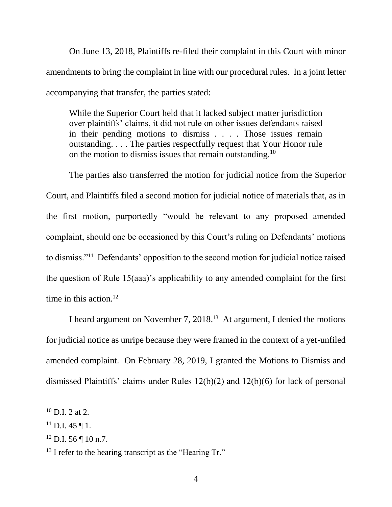On June 13, 2018, Plaintiffs re-filed their complaint in this Court with minor amendments to bring the complaint in line with our procedural rules. In a joint letter accompanying that transfer, the parties stated:

While the Superior Court held that it lacked subject matter jurisdiction over plaintiffs' claims, it did not rule on other issues defendants raised in their pending motions to dismiss . . . . Those issues remain outstanding. . . . The parties respectfully request that Your Honor rule on the motion to dismiss issues that remain outstanding.<sup>10</sup>

The parties also transferred the motion for judicial notice from the Superior Court, and Plaintiffs filed a second motion for judicial notice of materials that, as in the first motion, purportedly "would be relevant to any proposed amended complaint, should one be occasioned by this Court's ruling on Defendants' motions to dismiss."<sup>11</sup> Defendants' opposition to the second motion for judicial notice raised the question of Rule 15(aaa)'s applicability to any amended complaint for the first time in this action. $12$ 

I heard argument on November 7, 2018. 13 At argument, I denied the motions for judicial notice as unripe because they were framed in the context of a yet-unfiled amended complaint. On February 28, 2019, I granted the Motions to Dismiss and dismissed Plaintiffs' claims under Rules 12(b)(2) and 12(b)(6) for lack of personal

 $10$  D.I. 2 at 2.

 $^{11}$  D.I. 45 ¶ 1.

<sup>12</sup> D.I. 56 ¶ 10 n.7.

<sup>&</sup>lt;sup>13</sup> I refer to the hearing transcript as the "Hearing Tr."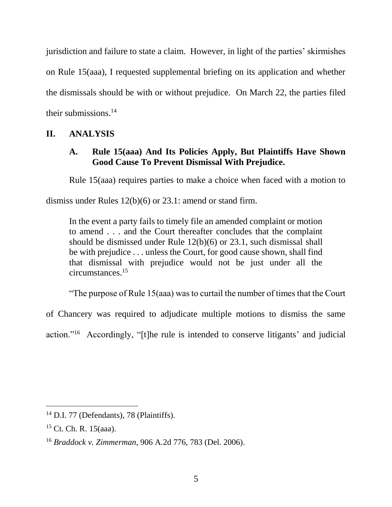jurisdiction and failure to state a claim. However, in light of the parties' skirmishes on Rule 15(aaa), I requested supplemental briefing on its application and whether the dismissals should be with or without prejudice. On March 22, the parties filed their submissions.<sup>14</sup>

## **II. ANALYSIS**

# **A. Rule 15(aaa) And Its Policies Apply, But Plaintiffs Have Shown Good Cause To Prevent Dismissal With Prejudice.**

Rule 15(aaa) requires parties to make a choice when faced with a motion to

dismiss under Rules 12(b)(6) or 23.1: amend or stand firm.

In the event a party fails to timely file an amended complaint or motion to amend . . . and the Court thereafter concludes that the complaint should be dismissed under Rule 12(b)(6) or 23.1, such dismissal shall be with prejudice . . . unless the Court, for good cause shown, shall find that dismissal with prejudice would not be just under all the circumstances.<sup>15</sup>

"The purpose of Rule 15(aaa) was to curtail the number of times that the Court

of Chancery was required to adjudicate multiple motions to dismiss the same

action."<sup>16</sup> Accordingly, "[t]he rule is intended to conserve litigants' and judicial

<sup>&</sup>lt;sup>14</sup> D.I. 77 (Defendants), 78 (Plaintiffs).

<sup>15</sup> Ct. Ch. R. 15(aaa).

<sup>16</sup> *Braddock v. Zimmerman*, 906 A.2d 776, 783 (Del. 2006).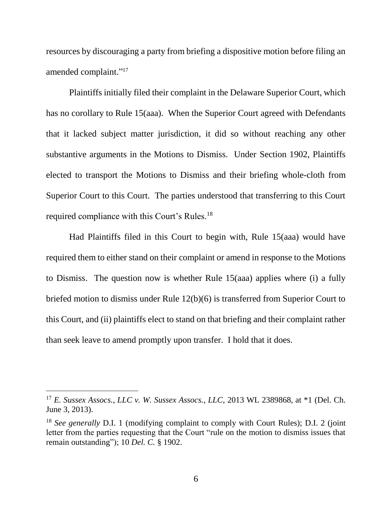resources by discouraging a party from briefing a dispositive motion before filing an amended complaint." 17

Plaintiffs initially filed their complaint in the Delaware Superior Court, which has no corollary to Rule 15(aaa). When the Superior Court agreed with Defendants that it lacked subject matter jurisdiction, it did so without reaching any other substantive arguments in the Motions to Dismiss. Under Section 1902, Plaintiffs elected to transport the Motions to Dismiss and their briefing whole-cloth from Superior Court to this Court. The parties understood that transferring to this Court required compliance with this Court's Rules.<sup>18</sup>

Had Plaintiffs filed in this Court to begin with, Rule 15(aaa) would have required them to either stand on their complaint or amend in response to the Motions to Dismiss. The question now is whether Rule 15(aaa) applies where (i) a fully briefed motion to dismiss under Rule 12(b)(6) is transferred from Superior Court to this Court, and (ii) plaintiffs elect to stand on that briefing and their complaint rather than seek leave to amend promptly upon transfer. I hold that it does.

<sup>17</sup> *E. Sussex Assocs., LLC v. W. Sussex Assocs., LLC*, 2013 WL 2389868, at \*1 (Del. Ch. June 3, 2013).

<sup>&</sup>lt;sup>18</sup> *See generally D.I. 1* (modifying complaint to comply with Court Rules); D.I. 2 (joint letter from the parties requesting that the Court "rule on the motion to dismiss issues that remain outstanding"); 10 *Del. C.* § 1902.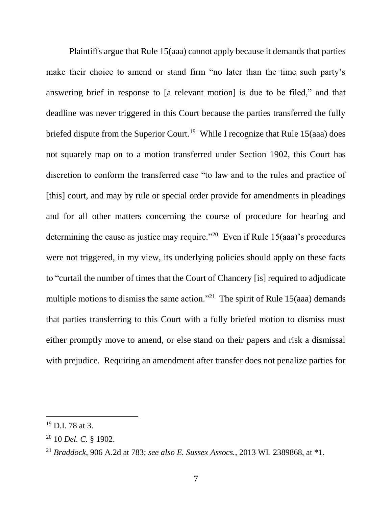Plaintiffs argue that Rule 15(aaa) cannot apply because it demands that parties make their choice to amend or stand firm "no later than the time such party's answering brief in response to [a relevant motion] is due to be filed," and that deadline was never triggered in this Court because the parties transferred the fully briefed dispute from the Superior Court.<sup>19</sup> While I recognize that Rule 15(aaa) does not squarely map on to a motion transferred under Section 1902, this Court has discretion to conform the transferred case "to law and to the rules and practice of [this] court, and may by rule or special order provide for amendments in pleadings and for all other matters concerning the course of procedure for hearing and determining the cause as justice may require."<sup>20</sup> Even if Rule  $15(aaa)$ 's procedures were not triggered, in my view, its underlying policies should apply on these facts to "curtail the number of times that the Court of Chancery [is] required to adjudicate multiple motions to dismiss the same action."<sup>21</sup> The spirit of Rule 15(aaa) demands that parties transferring to this Court with a fully briefed motion to dismiss must either promptly move to amend, or else stand on their papers and risk a dismissal with prejudice. Requiring an amendment after transfer does not penalize parties for

<sup>19</sup> D.I. 78 at 3.

<sup>20</sup> 10 *Del. C.* § 1902.

<sup>21</sup> *Braddock*, 906 A.2d at 783; *see also E. Sussex Assocs.*, 2013 WL 2389868, at \*1.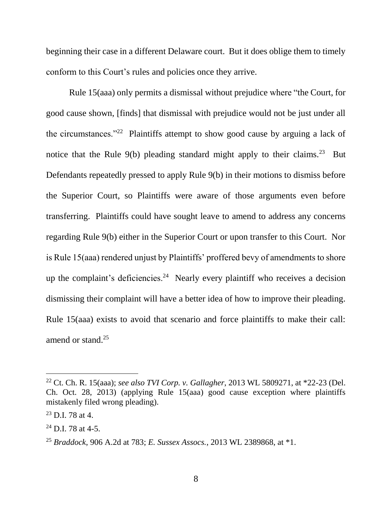beginning their case in a different Delaware court. But it does oblige them to timely conform to this Court's rules and policies once they arrive.

Rule 15(aaa) only permits a dismissal without prejudice where "the Court, for good cause shown, [finds] that dismissal with prejudice would not be just under all the circumstances."<sup>22</sup> Plaintiffs attempt to show good cause by arguing a lack of notice that the Rule  $9(b)$  pleading standard might apply to their claims.<sup>23</sup> But Defendants repeatedly pressed to apply Rule 9(b) in their motions to dismiss before the Superior Court, so Plaintiffs were aware of those arguments even before transferring. Plaintiffs could have sought leave to amend to address any concerns regarding Rule 9(b) either in the Superior Court or upon transfer to this Court. Nor is Rule 15(aaa) rendered unjust by Plaintiffs' proffered bevy of amendments to shore up the complaint's deficiencies.<sup>24</sup> Nearly every plaintiff who receives a decision dismissing their complaint will have a better idea of how to improve their pleading. Rule 15(aaa) exists to avoid that scenario and force plaintiffs to make their call: amend or stand.<sup>25</sup>

<sup>22</sup> Ct. Ch. R. 15(aaa); *see also TVI Corp. v. Gallagher*, 2013 WL 5809271, at \*22-23 (Del. Ch. Oct. 28, 2013) (applying Rule 15(aaa) good cause exception where plaintiffs mistakenly filed wrong pleading).

 $23$  D.I. 78 at 4.

 $24$  D.I. 78 at 4-5.

<sup>25</sup> *Braddock*, 906 A.2d at 783; *E. Sussex Assocs.*, 2013 WL 2389868, at \*1.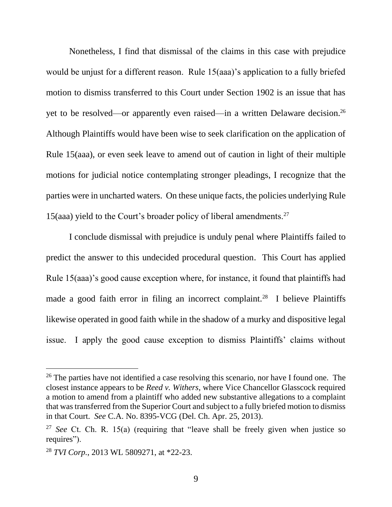Nonetheless, I find that dismissal of the claims in this case with prejudice would be unjust for a different reason. Rule 15(aaa)'s application to a fully briefed motion to dismiss transferred to this Court under Section 1902 is an issue that has yet to be resolved—or apparently even raised—in a written Delaware decision. 26 Although Plaintiffs would have been wise to seek clarification on the application of Rule 15(aaa), or even seek leave to amend out of caution in light of their multiple motions for judicial notice contemplating stronger pleadings, I recognize that the parties were in uncharted waters. On these unique facts, the policies underlying Rule 15(aaa) yield to the Court's broader policy of liberal amendments.<sup>27</sup>

I conclude dismissal with prejudice is unduly penal where Plaintiffs failed to predict the answer to this undecided procedural question. This Court has applied Rule 15(aaa)'s good cause exception where, for instance, it found that plaintiffs had made a good faith error in filing an incorrect complaint.<sup>28</sup> I believe Plaintiffs likewise operated in good faith while in the shadow of a murky and dispositive legal issue. I apply the good cause exception to dismiss Plaintiffs' claims without

<sup>&</sup>lt;sup>26</sup> The parties have not identified a case resolving this scenario, nor have I found one. The closest instance appears to be *Reed v. Withers*, where Vice Chancellor Glasscock required a motion to amend from a plaintiff who added new substantive allegations to a complaint that was transferred from the Superior Court and subject to a fully briefed motion to dismiss in that Court. *See* C.A. No. 8395-VCG (Del. Ch. Apr. 25, 2013).

<sup>27</sup> *See* Ct. Ch. R. 15(a) (requiring that "leave shall be freely given when justice so requires").

<sup>28</sup> *TVI Corp.*, 2013 WL 5809271, at \*22-23.